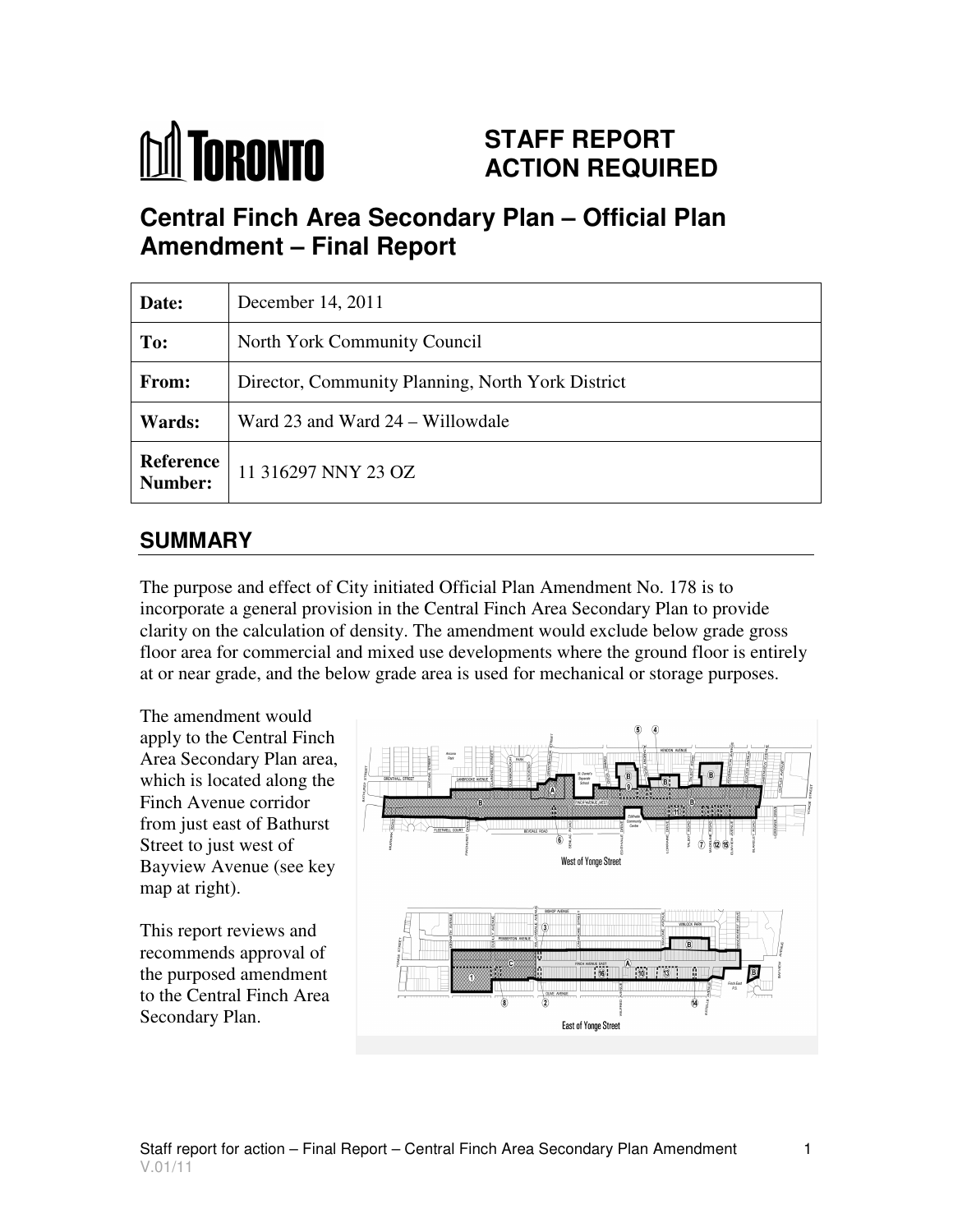# **M** TORONTO

# **STAFF REPORT ACTION REQUIRED**

# **Central Finch Area Secondary Plan – Official Plan Amendment – Final Report**

| Date:                       | December 14, 2011                                 |
|-----------------------------|---------------------------------------------------|
| To:                         | North York Community Council                      |
| <b>From:</b>                | Director, Community Planning, North York District |
| Wards:                      | Ward 23 and Ward 24 – Willowdale                  |
| <b>Reference</b><br>Number: | 11 316297 NNY 23 OZ                               |

# **SUMMARY**

The purpose and effect of City initiated Official Plan Amendment No. 178 is to incorporate a general provision in the Central Finch Area Secondary Plan to provide clarity on the calculation of density. The amendment would exclude below grade gross floor area for commercial and mixed use developments where the ground floor is entirely at or near grade, and the below grade area is used for mechanical or storage purposes.

The amendment would apply to the Central Finch Area Secondary Plan area, which is located along the Finch Avenue corridor from just east of Bathurst Street to just west of Bayview Avenue (see key map at right).

This report reviews and recommends approval of the purposed amendment to the Central Finch Area Secondary Plan.

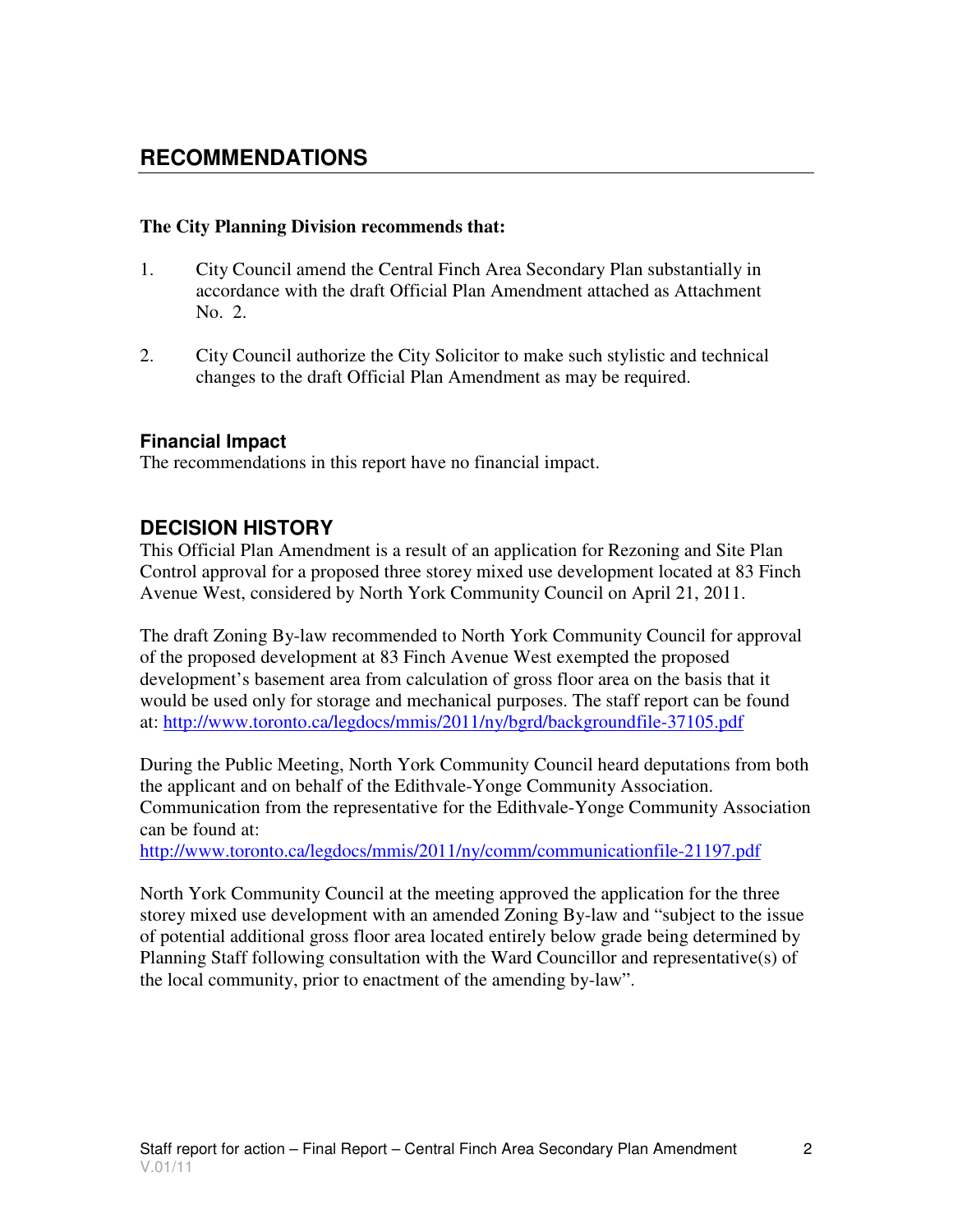## **RECOMMENDATIONS**

#### **The City Planning Division recommends that:**

- 1. City Council amend the Central Finch Area Secondary Plan substantially in accordance with the draft Official Plan Amendment attached as Attachment No. 2.
- 2. City Council authorize the City Solicitor to make such stylistic and technical changes to the draft Official Plan Amendment as may be required.

#### **Financial Impact**

The recommendations in this report have no financial impact.

#### **DECISION HISTORY**

This Official Plan Amendment is a result of an application for Rezoning and Site Plan Control approval for a proposed three storey mixed use development located at 83 Finch Avenue West, considered by North York Community Council on April 21, 2011.

The draft Zoning By-law recommended to North York Community Council for approval of the proposed development at 83 Finch Avenue West exempted the proposed development's basement area from calculation of gross floor area on the basis that it would be used only for storage and mechanical purposes. The staff report can be found at: http://www.toronto.ca/legdocs/mmis/2011/ny/bgrd/backgroundfile-37105.pdf

During the Public Meeting, North York Community Council heard deputations from both the applicant and on behalf of the Edithvale-Yonge Community Association. Communication from the representative for the Edithvale-Yonge Community Association can be found at:

http://www.toronto.ca/legdocs/mmis/2011/ny/comm/communicationfile-21197.pdf

North York Community Council at the meeting approved the application for the three storey mixed use development with an amended Zoning By-law and "subject to the issue of potential additional gross floor area located entirely below grade being determined by Planning Staff following consultation with the Ward Councillor and representative(s) of the local community, prior to enactment of the amending by-law".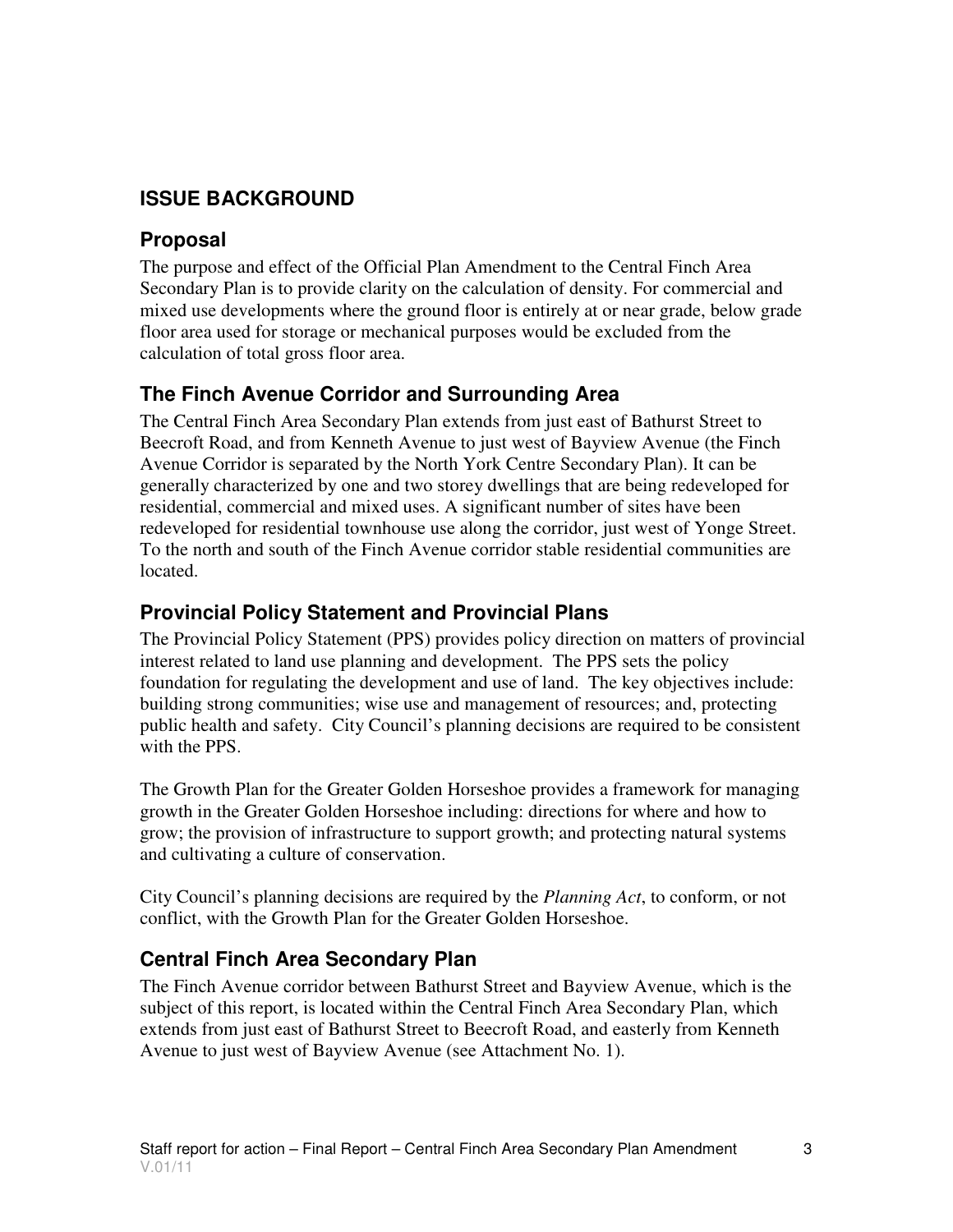## **ISSUE BACKGROUND**

## **Proposal**

The purpose and effect of the Official Plan Amendment to the Central Finch Area Secondary Plan is to provide clarity on the calculation of density. For commercial and mixed use developments where the ground floor is entirely at or near grade, below grade floor area used for storage or mechanical purposes would be excluded from the calculation of total gross floor area.

## **The Finch Avenue Corridor and Surrounding Area**

The Central Finch Area Secondary Plan extends from just east of Bathurst Street to Beecroft Road, and from Kenneth Avenue to just west of Bayview Avenue (the Finch Avenue Corridor is separated by the North York Centre Secondary Plan). It can be generally characterized by one and two storey dwellings that are being redeveloped for residential, commercial and mixed uses. A significant number of sites have been redeveloped for residential townhouse use along the corridor, just west of Yonge Street. To the north and south of the Finch Avenue corridor stable residential communities are located.

## **Provincial Policy Statement and Provincial Plans**

The Provincial Policy Statement (PPS) provides policy direction on matters of provincial interest related to land use planning and development. The PPS sets the policy foundation for regulating the development and use of land. The key objectives include: building strong communities; wise use and management of resources; and, protecting public health and safety. City Council's planning decisions are required to be consistent with the PPS.

The Growth Plan for the Greater Golden Horseshoe provides a framework for managing growth in the Greater Golden Horseshoe including: directions for where and how to grow; the provision of infrastructure to support growth; and protecting natural systems and cultivating a culture of conservation.

City Council's planning decisions are required by the *Planning Act*, to conform, or not conflict, with the Growth Plan for the Greater Golden Horseshoe.

## **Central Finch Area Secondary Plan**

The Finch Avenue corridor between Bathurst Street and Bayview Avenue, which is the subject of this report, is located within the Central Finch Area Secondary Plan, which extends from just east of Bathurst Street to Beecroft Road, and easterly from Kenneth Avenue to just west of Bayview Avenue (see Attachment No. 1).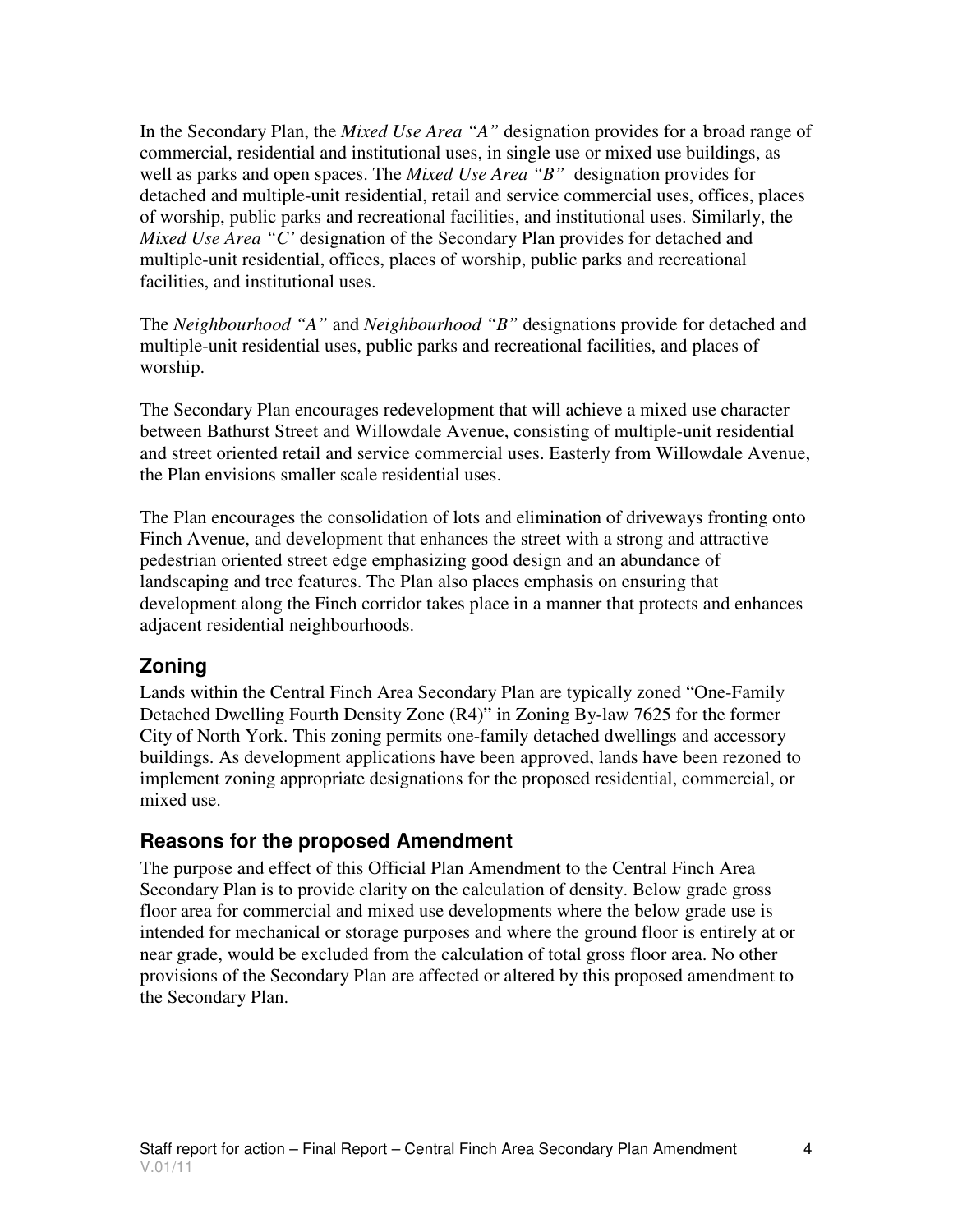In the Secondary Plan, the *Mixed Use Area "A"* designation provides for a broad range of commercial, residential and institutional uses, in single use or mixed use buildings, as well as parks and open spaces. The *Mixed Use Area "B"* designation provides for detached and multiple-unit residential, retail and service commercial uses, offices, places of worship, public parks and recreational facilities, and institutional uses. Similarly, the *Mixed Use Area "C'* designation of the Secondary Plan provides for detached and multiple-unit residential, offices, places of worship, public parks and recreational facilities, and institutional uses.

The *Neighbourhood "A"* and *Neighbourhood "B"* designations provide for detached and multiple-unit residential uses, public parks and recreational facilities, and places of worship.

The Secondary Plan encourages redevelopment that will achieve a mixed use character between Bathurst Street and Willowdale Avenue, consisting of multiple-unit residential and street oriented retail and service commercial uses. Easterly from Willowdale Avenue, the Plan envisions smaller scale residential uses.

The Plan encourages the consolidation of lots and elimination of driveways fronting onto Finch Avenue, and development that enhances the street with a strong and attractive pedestrian oriented street edge emphasizing good design and an abundance of landscaping and tree features. The Plan also places emphasis on ensuring that development along the Finch corridor takes place in a manner that protects and enhances adjacent residential neighbourhoods.

#### **Zoning**

Lands within the Central Finch Area Secondary Plan are typically zoned "One-Family Detached Dwelling Fourth Density Zone (R4)" in Zoning By-law 7625 for the former City of North York. This zoning permits one-family detached dwellings and accessory buildings. As development applications have been approved, lands have been rezoned to implement zoning appropriate designations for the proposed residential, commercial, or mixed use.

## **Reasons for the proposed Amendment**

The purpose and effect of this Official Plan Amendment to the Central Finch Area Secondary Plan is to provide clarity on the calculation of density. Below grade gross floor area for commercial and mixed use developments where the below grade use is intended for mechanical or storage purposes and where the ground floor is entirely at or near grade, would be excluded from the calculation of total gross floor area. No other provisions of the Secondary Plan are affected or altered by this proposed amendment to the Secondary Plan.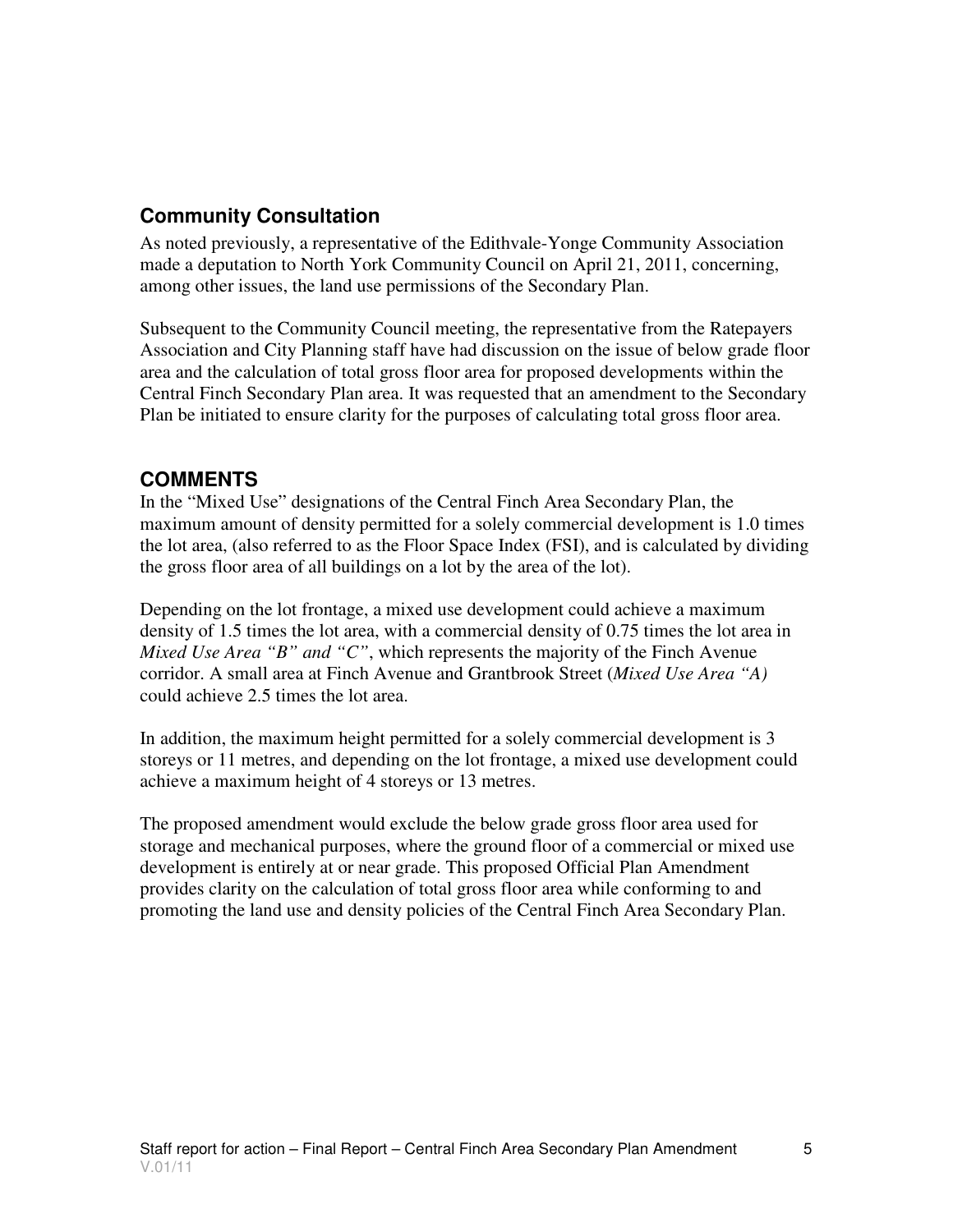## **Community Consultation**

As noted previously, a representative of the Edithvale-Yonge Community Association made a deputation to North York Community Council on April 21, 2011, concerning, among other issues, the land use permissions of the Secondary Plan.

Subsequent to the Community Council meeting, the representative from the Ratepayers Association and City Planning staff have had discussion on the issue of below grade floor area and the calculation of total gross floor area for proposed developments within the Central Finch Secondary Plan area. It was requested that an amendment to the Secondary Plan be initiated to ensure clarity for the purposes of calculating total gross floor area.

## **COMMENTS**

In the "Mixed Use" designations of the Central Finch Area Secondary Plan, the maximum amount of density permitted for a solely commercial development is 1.0 times the lot area, (also referred to as the Floor Space Index (FSI), and is calculated by dividing the gross floor area of all buildings on a lot by the area of the lot).

Depending on the lot frontage, a mixed use development could achieve a maximum density of 1.5 times the lot area, with a commercial density of 0.75 times the lot area in *Mixed Use Area "B" and "C"*, which represents the majority of the Finch Avenue corridor. A small area at Finch Avenue and Grantbrook Street (*Mixed Use Area "A)* could achieve 2.5 times the lot area.

In addition, the maximum height permitted for a solely commercial development is 3 storeys or 11 metres, and depending on the lot frontage, a mixed use development could achieve a maximum height of 4 storeys or 13 metres.

The proposed amendment would exclude the below grade gross floor area used for storage and mechanical purposes, where the ground floor of a commercial or mixed use development is entirely at or near grade. This proposed Official Plan Amendment provides clarity on the calculation of total gross floor area while conforming to and promoting the land use and density policies of the Central Finch Area Secondary Plan.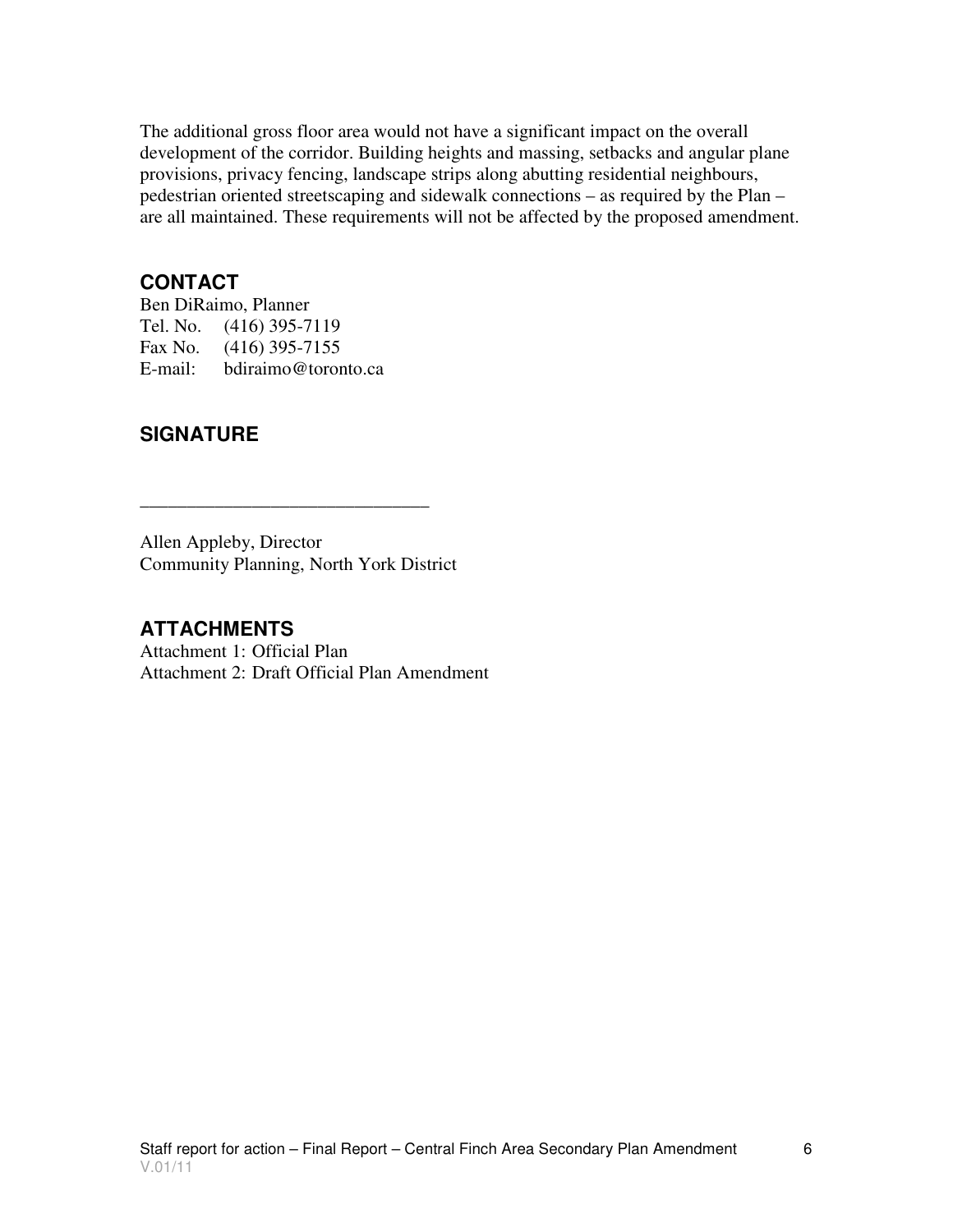The additional gross floor area would not have a significant impact on the overall development of the corridor. Building heights and massing, setbacks and angular plane provisions, privacy fencing, landscape strips along abutting residential neighbours, pedestrian oriented streetscaping and sidewalk connections – as required by the Plan – are all maintained. These requirements will not be affected by the proposed amendment.

#### **CONTACT**

Ben DiRaimo, Planner Tel. No. (416) 395-7119 Fax No. (416) 395-7155 E-mail: bdiraimo@toronto.ca

## **SIGNATURE**

Allen Appleby, Director Community Planning, North York District

\_\_\_\_\_\_\_\_\_\_\_\_\_\_\_\_\_\_\_\_\_\_\_\_\_\_\_\_\_\_\_

#### **ATTACHMENTS**

Attachment 1: Official Plan Attachment 2: Draft Official Plan Amendment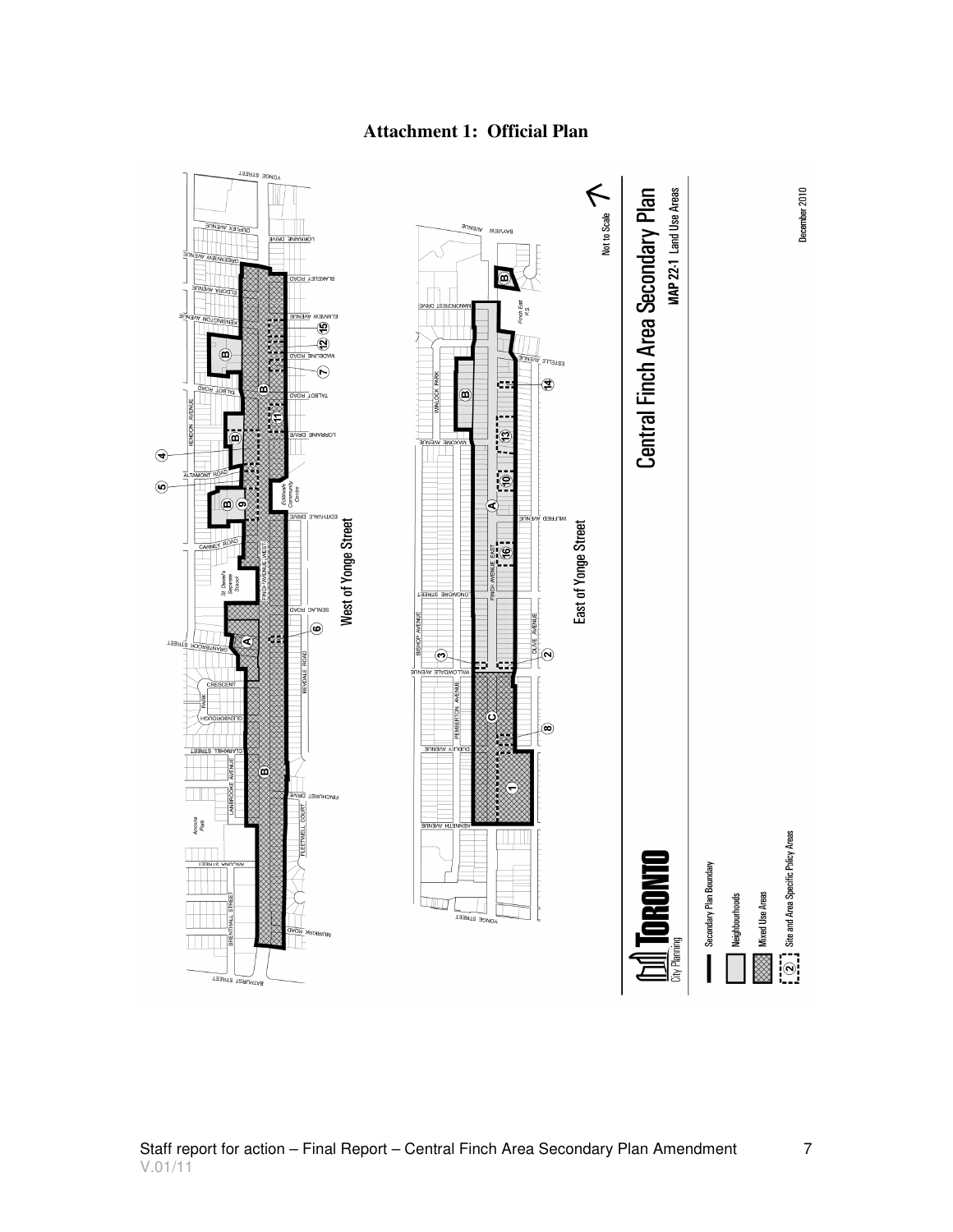

#### **Attachment 1: Official Plan**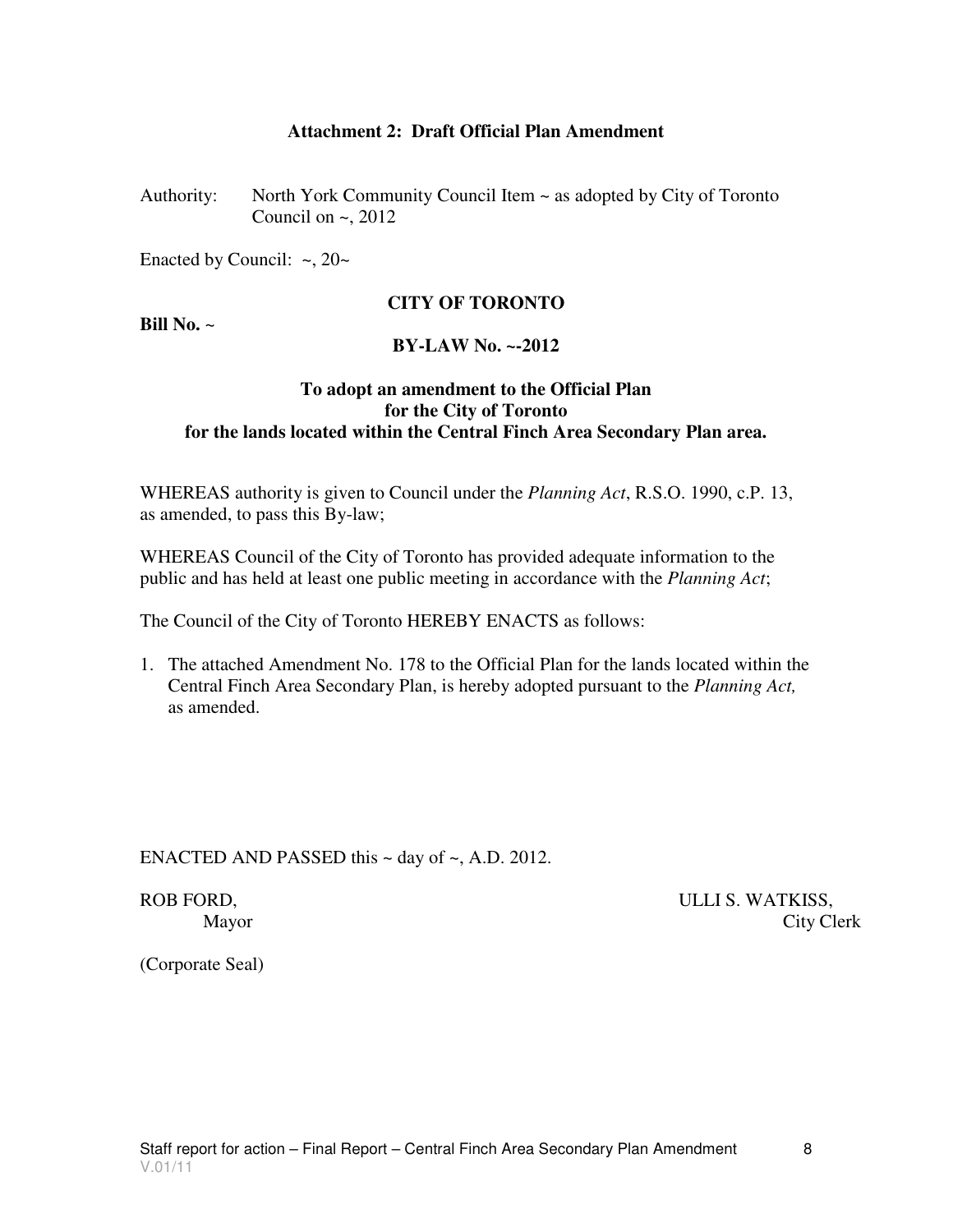#### **Attachment 2: Draft Official Plan Amendment**

Authority: North York Community Council Item ~ as adopted by City of Toronto Council on  $\sim$ , 2012

Enacted by Council:  $\sim$ , 20 $\sim$ 

#### **CITY OF TORONTO**

**Bill No.** ~

#### **BY-LAW No. ~-2012**

#### **To adopt an amendment to the Official Plan for the City of Toronto for the lands located within the Central Finch Area Secondary Plan area.**

WHEREAS authority is given to Council under the *Planning Act*, R.S.O. 1990, c.P. 13, as amended, to pass this By-law;

WHEREAS Council of the City of Toronto has provided adequate information to the public and has held at least one public meeting in accordance with the *Planning Act*;

The Council of the City of Toronto HEREBY ENACTS as follows:

1. The attached Amendment No. 178 to the Official Plan for the lands located within the Central Finch Area Secondary Plan, is hereby adopted pursuant to the *Planning Act,*  as amended.

ENACTED AND PASSED this  $\sim$  day of  $\sim$ , A.D. 2012.

ROB FORD, NOTIFICAL S. WATKISS, Mayor City Clerk

(Corporate Seal)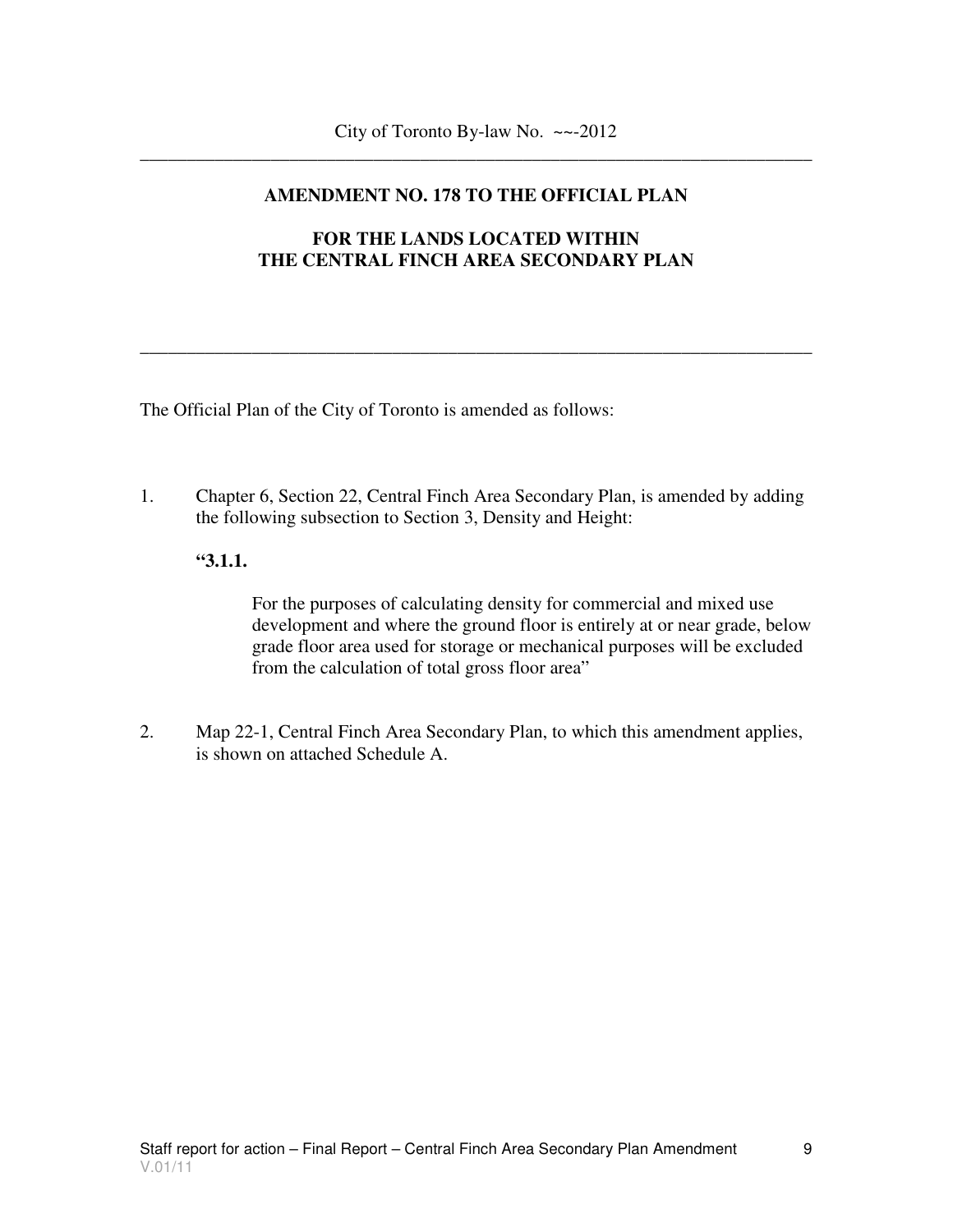#### **AMENDMENT NO. 178 TO THE OFFICIAL PLAN**

#### **FOR THE LANDS LOCATED WITHIN THE CENTRAL FINCH AREA SECONDARY PLAN**

\_\_\_\_\_\_\_\_\_\_\_\_\_\_\_\_\_\_\_\_\_\_\_\_\_\_\_\_\_\_\_\_\_\_\_\_\_\_\_\_\_\_\_\_\_\_\_\_\_\_\_\_\_\_\_\_\_\_\_\_\_\_\_\_\_\_\_\_\_\_\_\_

The Official Plan of the City of Toronto is amended as follows:

1. Chapter 6, Section 22, Central Finch Area Secondary Plan, is amended by adding the following subsection to Section 3, Density and Height:

#### **"3.1.1.**

 For the purposes of calculating density for commercial and mixed use development and where the ground floor is entirely at or near grade, below grade floor area used for storage or mechanical purposes will be excluded from the calculation of total gross floor area"

2. Map 22-1, Central Finch Area Secondary Plan, to which this amendment applies, is shown on attached Schedule A.